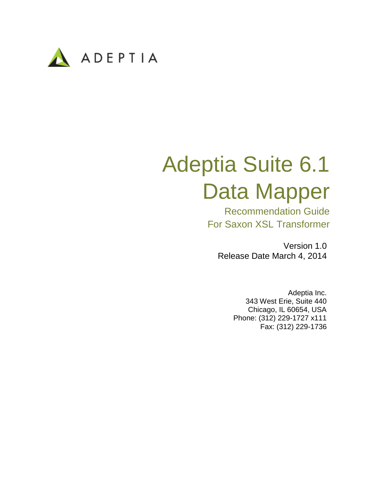

# Adeptia Suite 6.1 Data Mapper

Recommendation Guide For Saxon XSL Transformer

Version 1.0 Release Date March 4, 2014

> Adeptia Inc. 343 West Erie, Suite 440 Chicago, IL 60654, USA Phone: (312) 229-1727 x111 Fax: (312) 229-1736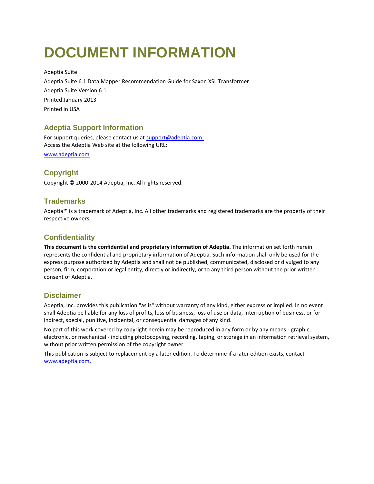# <span id="page-1-0"></span>**DOCUMENT INFORMATION**

Adeptia Suite Adeptia Suite 6.1 Data Mapper Recommendation Guide for Saxon XSL Transformer Adeptia Suite Version 6.1 Printed January 2013 Printed in USA

### **Adeptia Support Information**

For support queries, please contact us at support@adeptia.com. Access the Adeptia Web site at the following URL:

www.adeptia.com

## **Copyright**

Copyright © 2000-2014 Adeptia, Inc. All rights reserved.

#### **Trademarks**

Adeptia™ is a trademark of Adeptia, Inc. All other trademarks and registered trademarks are the property of their respective owners.

## **Confidentiality**

**This document is the confidential and proprietary information of Adeptia.** The information set forth herein represents the confidential and proprietary information of Adeptia. Such information shall only be used for the express purpose authorized by Adeptia and shall not be published, communicated, disclosed or divulged to any person, firm, corporation or legal entity, directly or indirectly, or to any third person without the prior written consent of Adeptia.

#### **Disclaimer**

Adeptia, Inc. provides this publication "as is" without warranty of any kind, either express or implied. In no event shall Adeptia be liable for any loss of profits, loss of business, loss of use or data, interruption of business, or for indirect, special, punitive, incidental, or consequential damages of any kind.

No part of this work covered by copyright herein may be reproduced in any form or by any means - graphic, electronic, or mechanical - including photocopying, recording, taping, or storage in an information retrieval system, without prior written permission of the copyright owner.

This publication is subject to replacement by a later edition. To determine if a later edition exists, contact [www.adeptia.com.](http://www.adeptia.com/)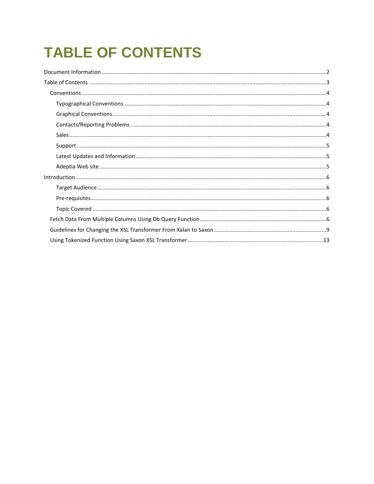# <span id="page-2-0"></span>**TABLE OF CONTENTS**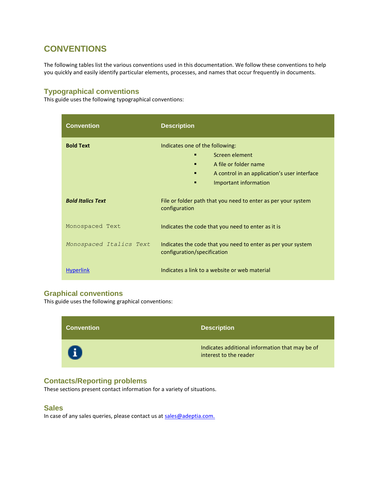# <span id="page-3-0"></span>**CONVENTIONS**

The following tables list the various conventions used in this documentation. We follow these conventions to help you quickly and easily identify particular elements, processes, and names that occur frequently in documents.

#### <span id="page-3-1"></span>**Typographical conventions**

This guide uses the following typographical conventions:

| <b>Convention</b>        | <b>Description</b>                                                                                                                                                 |
|--------------------------|--------------------------------------------------------------------------------------------------------------------------------------------------------------------|
| <b>Bold Text</b>         | Indicates one of the following:<br>Screen element<br>A file or folder name<br>п<br>A control in an application's user interface<br>п<br>Important information<br>п |
| <b>Bold Italics Text</b> | File or folder path that you need to enter as per your system<br>configuration                                                                                     |
| Monospaced Text          | Indicates the code that you need to enter as it is                                                                                                                 |
| Monospaced Italics Text  | Indicates the code that you need to enter as per your system<br>configuration/specification                                                                        |
| <b>Hyperlink</b>         | Indicates a link to a website or web material                                                                                                                      |

#### <span id="page-3-2"></span>**Graphical conventions**

This guide uses the following graphical conventions:



#### <span id="page-3-3"></span>**Contacts/Reporting problems**

These sections present contact information for a variety of situations.

#### <span id="page-3-4"></span>**Sales**

In case of any sales queries, please contact us at sales@adeptia.com.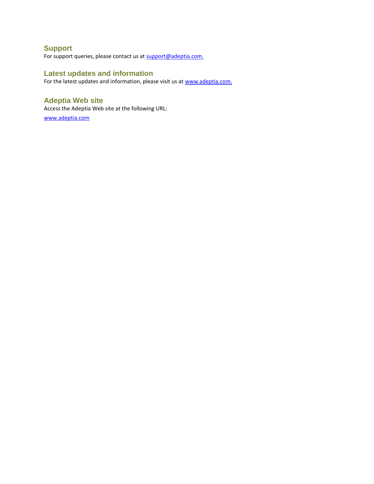## <span id="page-4-0"></span>**Support**

For support queries, please contact us at support@adeptia.com.

#### <span id="page-4-1"></span>**Latest updates and information**

For the latest updates and information, please visit us at www.adeptia.com.

#### <span id="page-4-2"></span>**Adeptia Web site**

Access the Adeptia Web site at the following URL: [www.adeptia.com](http://www.adeptia.com/)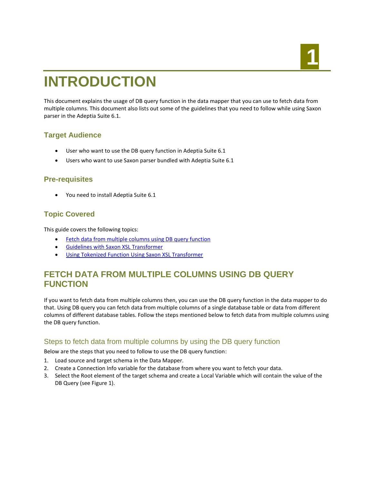# **1 1 1 1 1 1 1 1 1**

# <span id="page-5-0"></span>**INTRODUCTION**

This document explains the usage of DB query function in the data mapper that you can use to fetch data from multiple columns. This document also lists out some of the guidelines that you need to follow while using Saxon parser in the Adeptia Suite 6.1.

### <span id="page-5-1"></span>**Target Audience**

- User who want to use the DB query function in Adeptia Suite 6.1
- Users who want to use Saxon parser bundled with Adeptia Suite 6.1

#### <span id="page-5-2"></span>**Pre-requisites**

You need to install Adeptia Suite 6.1

#### <span id="page-5-3"></span>**Topic Covered**

This guide covers the following topics:

- [Fetch data from multiple columns using DB query function](#page-5-4)
- [Guidelines with Saxon XSL Transformer](#page-8-0)
- [Using Tokenized Function Using Saxon XSL Transformer](#page-12-0)

# <span id="page-5-4"></span>**FETCH DATA FROM MULTIPLE COLUMNS USING DB QUERY FUNCTION**

If you want to fetch data from multiple columns then, you can use the DB query function in the data mapper to do that. Using DB query you can fetch data from multiple columns of a single database table or data from different columns of different database tables. Follow the steps mentioned below to fetch data from multiple columns using the DB query function.

#### Steps to fetch data from multiple columns by using the DB query function

Below are the steps that you need to follow to use the DB query function:

- 1. Load source and target schema in the Data Mapper.
- 2. Create a Connection Info variable for the database from where you want to fetch your data.
- 3. Select the Root element of the target schema and create a Local Variable which will contain the value of the DB Query (see [Figure 1\)](#page-6-0).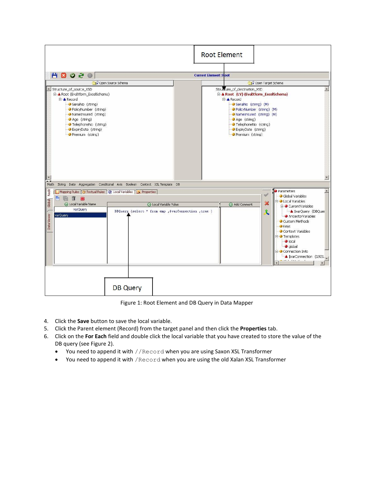|                                                                                                                                                                                                                                                                           |                                                                                     | <b>Root Element</b>                                                                                                                                                                                                                                                                                                                                                                               |
|---------------------------------------------------------------------------------------------------------------------------------------------------------------------------------------------------------------------------------------------------------------------------|-------------------------------------------------------------------------------------|---------------------------------------------------------------------------------------------------------------------------------------------------------------------------------------------------------------------------------------------------------------------------------------------------------------------------------------------------------------------------------------------------|
| <b>HBOSO</b>                                                                                                                                                                                                                                                              |                                                                                     | <b>Current Element: Root</b>                                                                                                                                                                                                                                                                                                                                                                      |
| Structure_of_source_XSD<br>□ A Root (EvalXform_ExcelSchema)<br><b>E</b> A Record<br>SerialNo (string)<br>- PolicyNumber (string)<br>NameInsured (string)<br>Age (string)<br>TelephoneNo (string)<br>- ExpiryDate (string)<br>Premium (string)<br>$\overline{\phantom{0}}$ | N Open Source Schema                                                                | Open Target Schema<br>Structure_of_destination_XSD<br>□ A Root (LV) (EvalXform_ExcelSchema)<br><b>E</b> A Record<br>SerialNo (string) (M)<br>PolicyNumber (string) (M)<br>NameInsured (string) (M)<br>Age (string)<br>TelephoneNo (string)<br>· ExpiryDate (string)<br>Premium (string)<br>$\mathbf{r}$                                                                                           |
| $\overline{\phantom{a}}$<br>Math                                                                                                                                                                                                                                          | String Date Aggregation Conditional Axis Boolean Context XSLTemplate DB             |                                                                                                                                                                                                                                                                                                                                                                                                   |
|                                                                                                                                                                                                                                                                           | Mapping Rules <b>10</b> Textual Rules <b>@</b> Local Variables Lite Properties      | <b>Parameters</b><br>$\blacktriangle$                                                                                                                                                                                                                                                                                                                                                             |
| Data Viewer   Global Node<br>而<br><b>G</b> Local Variable Name<br>varQuery<br>varQuery                                                                                                                                                                                    | <b>G</b> Local Variable Value<br>DBQuery (select * from emp ,&varConnection ,true ) | Global Variables<br><b>E</b> - <b>J</b> Local Variables<br>$\boldsymbol{\mathsf{x}}$<br>Add Comment<br><b>E-O</b> CurrentVariables<br><b>A</b> \$varQuery (DBQuer<br>$\mathbf{\hat{x}}$<br>AncestorVariables<br>Custom Methods<br><b>Keys</b><br>Context Variables<br><b>E</b> Templates<br>$\bullet$ local<br>· global<br><b>E-O</b> Connection Info<br>svarConnection (1921.<br>and it is a set |
|                                                                                                                                                                                                                                                                           | <b>DB Query</b>                                                                     |                                                                                                                                                                                                                                                                                                                                                                                                   |

Figure 1: Root Element and DB Query in Data Mapper

- <span id="page-6-0"></span>4. Click the **Save** button to save the local variable.
- 5. Click the Parent element (Record) from the target panel and then click the **Properties** tab.
- 6. Click on the **For Each** field and double click the local variable that you have created to store the value of the DB query (see [Figure 2\)](#page-7-0).
	- You need to append it with //Record when you are using Saxon XSL Transformer
	- You need to append it with /Record when you are using the old Xalan XSL Transformer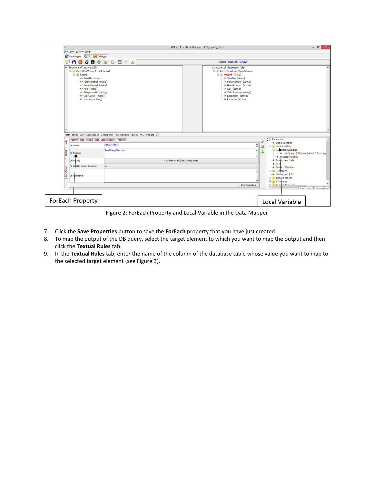| Δ                                                                                                                                                                                                                                                      |                                                                               | ADEPTIA - Data Mapper - DB_Query_Test |                                                                                                                                                                                                                                                                | $ \theta$ $x$                                                                                                                                                                            |  |  |
|--------------------------------------------------------------------------------------------------------------------------------------------------------------------------------------------------------------------------------------------------------|-------------------------------------------------------------------------------|---------------------------------------|----------------------------------------------------------------------------------------------------------------------------------------------------------------------------------------------------------------------------------------------------------------|------------------------------------------------------------------------------------------------------------------------------------------------------------------------------------------|--|--|
| File View Actions Help                                                                                                                                                                                                                                 |                                                                               |                                       |                                                                                                                                                                                                                                                                |                                                                                                                                                                                          |  |  |
| Data Mapper (C) XSL   Cole Debugger                                                                                                                                                                                                                    |                                                                               |                                       | <b>Current Element: Record</b>                                                                                                                                                                                                                                 |                                                                                                                                                                                          |  |  |
| м<br>×<br>- 1<br>⊠<br>ø                                                                                                                                                                                                                                | $\mathbf{m}$<br>$O$ a $O$<br>大国                                               |                                       |                                                                                                                                                                                                                                                                |                                                                                                                                                                                          |  |  |
| A Structure of source XSD<br>Root (EvalXform_ExcelSchema)<br><b>E-Record</b><br>SerialNo (string)<br>-> PolicyNumber (string)<br><> NameInsured (string)<br><> Age (string)<br><> TelephoneNo (string)<br>O ExpiryDate (string)<br><> Premium (string) |                                                                               |                                       | Structure_of_destination_XSD<br>Root (Evaltform_ExcelSchema)<br><b>E-Record (F, LV)</b><br>SerialNo (string)<br>-> PolicyNumber (string)<br><> NameInsured (string)<br><> Age (string)<br><> TelephoneNo (string)<br>O ExpiryDate (string)<br>Premium (string) |                                                                                                                                                                                          |  |  |
|                                                                                                                                                                                                                                                        |                                                                               |                                       |                                                                                                                                                                                                                                                                | $\checkmark$                                                                                                                                                                             |  |  |
|                                                                                                                                                                                                                                                        | Math String Date Aggregation Conditional Axis Boolean Context XSL Template DB |                                       |                                                                                                                                                                                                                                                                |                                                                                                                                                                                          |  |  |
| Mapping Rules   Textual Rules   Local Variables   Properties<br>Node                                                                                                                                                                                   |                                                                               |                                       |                                                                                                                                                                                                                                                                | Parameters<br>٨<br>· Global Variables                                                                                                                                                    |  |  |
| > XPath                                                                                                                                                                                                                                                | /Root/Record                                                                  |                                       | $\hat{\cdot}$                                                                                                                                                                                                                                                  | Local Variables<br>×                                                                                                                                                                     |  |  |
| <b>Report</b><br>ForEach                                                                                                                                                                                                                               | SvarQuery//Record                                                             |                                       | $\hat{\phantom{a}}$<br>$\overline{\phantom{a}}$                                                                                                                                                                                                                | <b>D</b> PurrentVariables<br>SvarOuery (DBOuery (select * from exp<br>· AncestorVariables                                                                                                |  |  |
| Sarting                                                                                                                                                                                                                                                |                                                                               | Click here to add/view Sorting Rules  |                                                                                                                                                                                                                                                                | · Custom Methods                                                                                                                                                                         |  |  |
| Disable-Output-Escaping<br>Data <sup>1</sup><br><b>Comments</b>                                                                                                                                                                                        | no                                                                            |                                       | Save Properties                                                                                                                                                                                                                                                | · Keys<br>Context Variables<br><b>D</b> Templates<br>• Connection Info<br><b>B</b> Global Methods<br><b>B</b> Value Map<br>÷<br><b>Producer Arden Man</b><br>1 hr 31 min (70%) remaining |  |  |
| ForEach Property                                                                                                                                                                                                                                       |                                                                               |                                       |                                                                                                                                                                                                                                                                | Local Variable                                                                                                                                                                           |  |  |

Figure 2: ForEach Property and Local Variable in the Data Mapper

- <span id="page-7-0"></span>7. Click the **Save Properties** button to save the **ForEach** property that you have just created.
- 8. To map the output of the DB query, select the target element to which you want to map the output and then click the **Textual Rules** tab.
- 9. In the **Textual Rules** tab, enter the name of the column of the database table whose value you want to map to the selected target element (see [Figure 3\)](#page-8-1).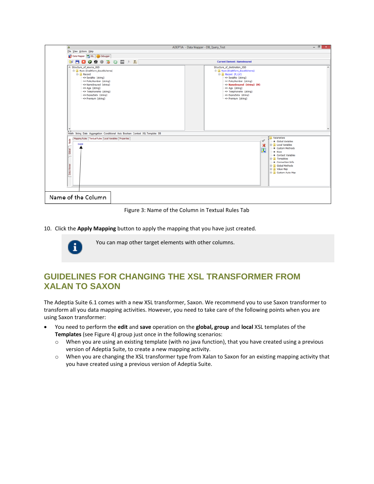

Figure 3: Name of the Column in Textual Rules Tab

<span id="page-8-1"></span>10. Click the **Apply Mapping** button to apply the mapping that you have just created.



You can map other target elements with other columns.

# <span id="page-8-0"></span>**GUIDELINES FOR CHANGING THE XSL TRANSFORMER FROM XALAN TO SAXON**

The Adeptia Suite 6.1 comes with a new XSL transformer, Saxon. We recommend you to use Saxon transformer to transform all you data mapping activities. However, you need to take care of the following points when you are using Saxon transformer:

- You need to perform the **edit** and **save** operation on the **global, group** and **local** XSL templates of the **Templates** (see [Figure 4\)](#page-9-0) group just once in the following scenarios:
	- o When you are using an existing template (with no java function), that you have created using a previous version of Adeptia Suite, to create a new mapping activity.
	- o When you are changing the XSL transformer type from Xalan to Saxon for an existing mapping activity that you have created using a previous version of Adeptia Suite.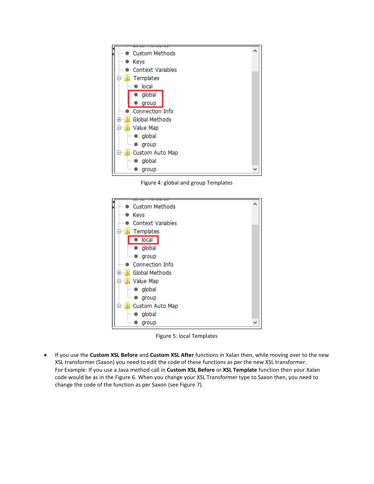

Figure 4: global and group Templates

<span id="page-9-0"></span>

Figure 5: local Templates

 If you use the **Custom XSL Before** and **Custom XSL After** functions in Xalan then, while moving over to the new XSL transformer (Saxon) you need to edit the code of these functions as per the new XSL transformer. For Example: If you use a Java method call in **Custom XSL Before** or **XSL Template** function then your Xalan code would be as in th[e Figure 6.](#page-10-0) When you change your XSL Transformer type to Saxon then, you need to change the code of the function as per Saxon (se[e Figure 7\)](#page-10-1).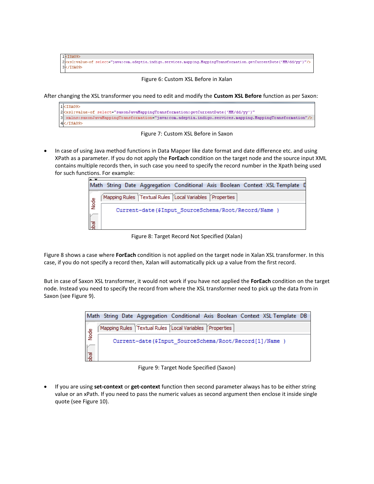```
1<ISA09>
2 xsl:value-of select="java:com.adeptia.indigo.services.mapping.MappingTransformation.getCurrentDate('MM/dd/yy')"/>
3 </ISA09>
```


<span id="page-10-0"></span>After changing the XSL transformer you need to edit and modify the **Custom XSL Before** function as per Saxon:



Figure 7: Custom XSL Before in Saxon

<span id="page-10-1"></span> In case of using Java method functions in Data Mapper like date format and date difference etc. and using XPath as a parameter. If you do not apply the **ForEach** condition on the target node and the source input XML contains multiple records then, in such case you need to specify the record number in the Xpath being used for such functions. For example:



Figure 8: Target Record Not Specified (Xalan)

<span id="page-10-2"></span>[Figure 8](#page-10-2) shows a case where **ForEach** condition is not applied on the target node in Xalan XSL transformer. In this case, if you do not specify a record then, Xalan will automatically pick up a value from the first record.

But in case of Saxon XSL transformer, it would not work if you have not applied the **ForEach** condition on the target node. Instead you need to specify the record from where the XSL transformer need to pick up the data from in Saxon (se[e Figure 9\)](#page-10-3).

|                      | Math String Date Aggregation Conditional Axis Boolean Context XSL Template DB |  |  |  |  |  |  |  |
|----------------------|-------------------------------------------------------------------------------|--|--|--|--|--|--|--|
|                      | Mapping Rules Textual Rules Local Variables Properties                        |  |  |  |  |  |  |  |
| eg<br>Node           | Current-date (\$Input SourceSchema/Root/Record[1]/Name )                      |  |  |  |  |  |  |  |
| $\sqrt{\frac{1}{2}}$ |                                                                               |  |  |  |  |  |  |  |

Figure 9: Target Node Specified (Saxon)

<span id="page-10-3"></span> If you are using **set-context** or **get-context** function then second parameter always has to be either string value or an xPath. If you need to pass the numeric values as second argument then enclose it inside single quote (se[e Figure 10\)](#page-11-0).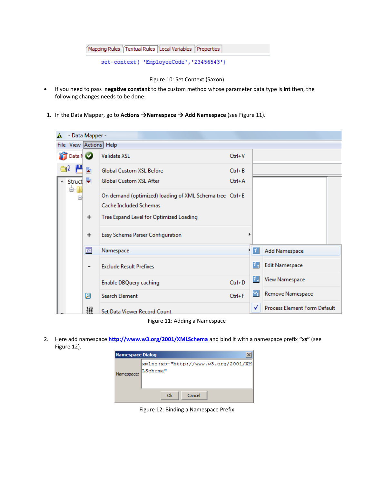| Mapping Rules Textual Rules Local Variables Properties |  |
|--------------------------------------------------------|--|
|--------------------------------------------------------|--|

```
set-context( 'EmployeeCode', '23456543')
```
#### Figure 10: Set Context (Saxon)

- <span id="page-11-0"></span> If you need to pass **negative constant** to the custom method whose parameter data type is **int** then, the following changes needs to be done:
- 1. In the Data Mapper, go to **Actions Namespace Add Namespace** (se[e Figure 11\)](#page-11-1).

| A. | - Data Mapper -    |                   |                                                                                   |            |                  |                                     |  |  |
|----|--------------------|-------------------|-----------------------------------------------------------------------------------|------------|------------------|-------------------------------------|--|--|
|    |                    |                   | File View Actions Help                                                            |            |                  |                                     |  |  |
|    | <b>In Data N</b> O |                   | Validate XSL                                                                      | $Ctrl + V$ |                  |                                     |  |  |
|    |                    |                   | Global Custom XSL Before                                                          | $Ctrl + B$ |                  |                                     |  |  |
|    | Struct v           |                   | Global Custom XSL After                                                           | $Ctrl + A$ |                  |                                     |  |  |
|    | 白…                 |                   | On demand (optimized) loading of XML Schema tree Ctrl+E<br>Cache Included Schemas |            |                  |                                     |  |  |
|    |                    | $\ddot{}$         | Tree Expand Level for Optimized Loading                                           |            |                  |                                     |  |  |
|    |                    | $\ddot{}$         | Easy Schema Parser Configuration                                                  | Þ          |                  |                                     |  |  |
|    |                    | ns                | Namespace                                                                         |            | $  \mathbf{1}  $ | Add Namespace                       |  |  |
|    |                    | -                 | <b>Exclude Result Prefixes</b>                                                    |            | $1_{\rm m}$      | <b>Edit Namespace</b>               |  |  |
|    |                    |                   | Enable DBQuery caching                                                            | $Ctrl + D$ | $1_{\rm v}$      | <b>View Namespace</b>               |  |  |
|    |                    | ℗                 | <b>Search Element</b>                                                             | $Ctrl + F$ | $\circ$          | Remove Namespace                    |  |  |
|    |                    | $\frac{123}{456}$ | Set Data Viewer Record Count                                                      |            | √                | <b>Process Element Form Default</b> |  |  |

Figure 11: Adding a Namespace

<span id="page-11-2"></span><span id="page-11-1"></span>2. Here add namespace **<http://www.w3.org/2001/XMLSchema>** and bind it with a namespace prefix **"xs"** (see [Figure 12\)](#page-11-2).

| <b>Namespace Dialog</b> |                                                   |  |  |  |
|-------------------------|---------------------------------------------------|--|--|--|
| Namespace:              | xmlns:xs="http://www.w3.org/2001/XM <br> LSchema" |  |  |  |
|                         | Cancel<br>Ok                                      |  |  |  |

Figure 12: Binding a Namespace Prefix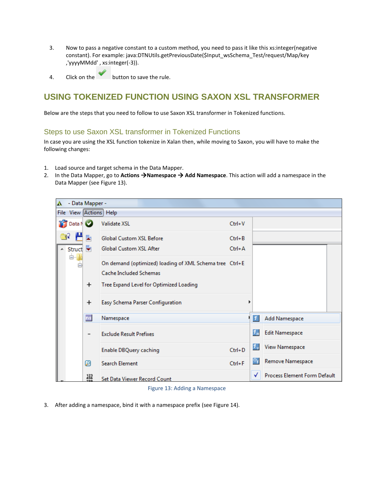- 3. Now to pass a negative constant to a custom method, you need to pass it like this xs:integer(negative constant). For example: java:DTNUtils.getPreviousDate(\$Input\_wsSchema\_Test/request/Map/key ,'yyyyMMdd' , xs:integer(-3)).
- 4. Click on the button to save the rule.

# <span id="page-12-0"></span>**USING TOKENIZED FUNCTION USING SAXON XSL TRANSFORMER**

Below are the steps that you need to follow to use Saxon XSL transformer in Tokenized functions.

#### Steps to use Saxon XSL transformer in Tokenized Functions

In case you are using the XSL function tokenize in Xalan then, while moving to Saxon, you will have to make the following changes:

- 1. Load source and target schema in the Data Mapper.
- 2. In the Data Mapper, go to **Actions Namespace Add Namespace**. This action will add a namespace in the Data Mapper (see [Figure 13\)](#page-12-1).

| A    | - Data Mapper -    |           |                                                         |            |               |                              |  |  |  |
|------|--------------------|-----------|---------------------------------------------------------|------------|---------------|------------------------------|--|--|--|
|      |                    |           | File View Actions Help                                  |            |               |                              |  |  |  |
|      | <b>Till</b> Data N |           | <b>Validate XSL</b>                                     | $Ctrl + V$ |               |                              |  |  |  |
| - q2 |                    |           | Global Custom XSL Before                                | $Ctrl + B$ |               |                              |  |  |  |
|      | Struct v           |           | <b>Global Custom XSL After</b>                          | $Ctrl + A$ |               |                              |  |  |  |
|      | <b>白…</b>          |           | On demand (optimized) loading of XML Schema tree Ctrl+E |            |               |                              |  |  |  |
|      |                    |           | Cache Included Schemas                                  |            |               |                              |  |  |  |
|      |                    | $\ddot{}$ | Tree Expand Level for Optimized Loading                 |            |               |                              |  |  |  |
|      |                    | $\ddot{}$ | Easy Schema Parser Configuration                        |            |               |                              |  |  |  |
|      |                    | ns        | Namespace                                               |            | 11            | Add Namespace                |  |  |  |
|      |                    |           | <b>Exclude Result Prefixes</b>                          |            | $1\mathrm{m}$ | <b>Edit Namespace</b>        |  |  |  |
|      |                    |           | Enable DBQuery caching                                  | $Ctrl + D$ | $1^{\prime}$  | <b>View Namespace</b>        |  |  |  |
|      |                    | ℗         | <b>Search Element</b>                                   | $Ctrl + F$ | $\circ$       | Remove Namespace             |  |  |  |
|      |                    | 123       | Set Data Viewer Record Count                            |            | √             | Process Element Form Default |  |  |  |

#### Figure 13: Adding a Namespace

<span id="page-12-1"></span>3. After adding a namespace, bind it with a namespace prefix (se[e Figure 14\)](#page-13-0).